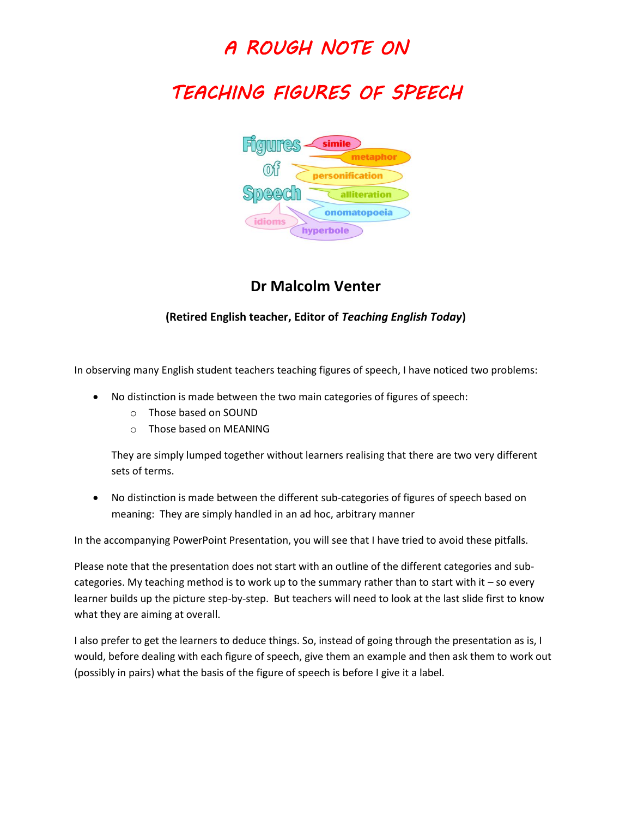## *A ROUGH NOTE ON*

# *TEACHING FIGURES OF SPEECH*



#### **Dr Malcolm Venter**

#### **(Retired English teacher, Editor of** *Teaching English Today***)**

In observing many English student teachers teaching figures of speech, I have noticed two problems:

- No distinction is made between the two main categories of figures of speech:
	- o Those based on SOUND
	- $\circ$  Those based on MEANING

They are simply lumped together without learners realising that there are two very different sets of terms.

 No distinction is made between the different sub-categories of figures of speech based on meaning: They are simply handled in an ad hoc, arbitrary manner

In the accompanying PowerPoint Presentation, you will see that I have tried to avoid these pitfalls.

Please note that the presentation does not start with an outline of the different categories and subcategories. My teaching method is to work up to the summary rather than to start with it – so every learner builds up the picture step-by-step. But teachers will need to look at the last slide first to know what they are aiming at overall.

I also prefer to get the learners to deduce things. So, instead of going through the presentation as is, I would, before dealing with each figure of speech, give them an example and then ask them to work out (possibly in pairs) what the basis of the figure of speech is before I give it a label.